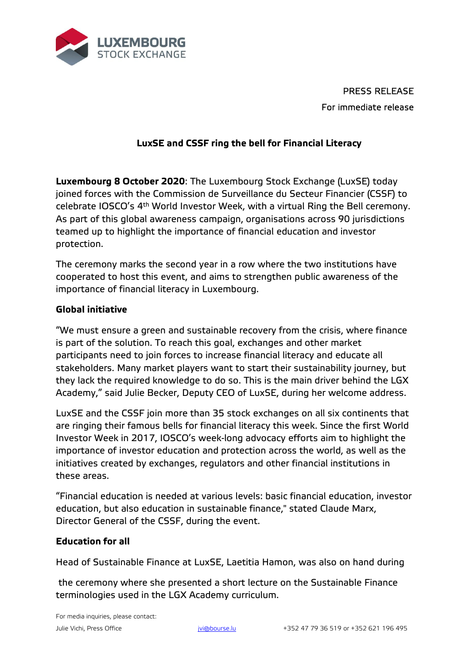

PRESS RELEASE For immediate release

## **LuxSE and CSSF ring the bell for Financial Literacy**

**Luxembourg 8 October 2020**: The Luxembourg Stock Exchange (LuxSE) today joined forces with the Commission de Surveillance du Secteur Financier (CSSF) to celebrate IOSCO's 4th World Investor Week, with a virtual Ring the Bell ceremony. As part of this global awareness campaign, organisations across 90 jurisdictions teamed up to highlight the importance of financial education and investor protection.

The ceremony marks the second year in a row where the two institutions have cooperated to host this event, and aims to strengthen public awareness of the importance of financial literacy in Luxembourg.

## **Global initiative**

"We must ensure a green and sustainable recovery from the crisis, where finance is part of the solution. To reach this goal, exchanges and other market participants need to join forces to increase financial literacy and educate all stakeholders. Many market players want to start their sustainability journey, but they lack the required knowledge to do so. This is the main driver behind the LGX Academy," said Julie Becker, Deputy CEO of LuxSE, during her welcome address.

LuxSE and the CSSF join more than 35 stock exchanges on all six continents that are ringing their famous bells for financial literacy this week. Since the first World Investor Week in 2017, IOSCO's week-long advocacy efforts aim to highlight the importance of investor education and protection across the world, as well as the initiatives created by exchanges, regulators and other financial institutions in these areas.

"Financial education is needed at various levels: basic financial education, investor education, but also education in sustainable finance," stated Claude Marx, Director General of the CSSF, during the event.

## **Education for all**

Head of Sustainable Finance at LuxSE, Laetitia Hamon, was also on hand during

the ceremony where she presented a short lecture on the Sustainable Finance terminologies used in the LGX Academy curriculum.